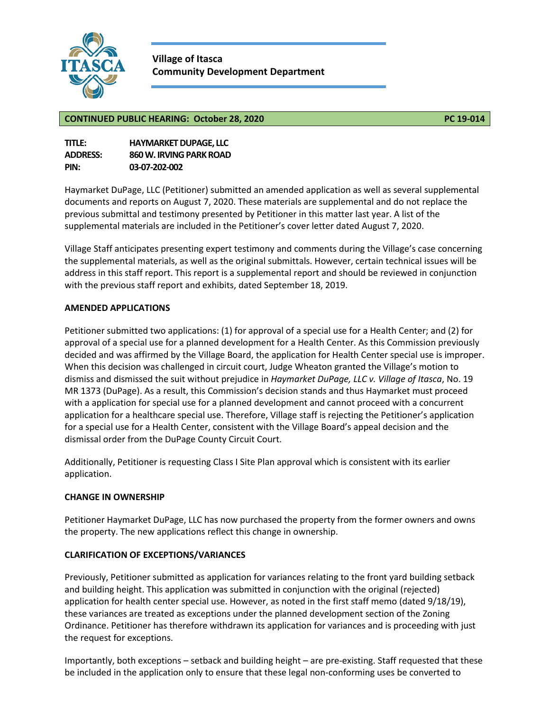

**Village of Itasca Community Development Department**

#### **CONTINUED PUBLIC HEARING: October 28, 2020 PC 19-014**

| <b>TITLE:</b>   | <b>HAYMARKET DUPAGE. LLC</b> |
|-----------------|------------------------------|
| <b>ADDRESS:</b> | 860 W. IRVING PARK ROAD      |
| PIN:            | 03-07-202-002                |

Haymarket DuPage, LLC (Petitioner) submitted an amended application as well as several supplemental documents and reports on August 7, 2020. These materials are supplemental and do not replace the previous submittal and testimony presented by Petitioner in this matter last year. A list of the supplemental materials are included in the Petitioner's cover letter dated August 7, 2020.

Village Staff anticipates presenting expert testimony and comments during the Village's case concerning the supplemental materials, as well as the original submittals. However, certain technical issues will be address in this staff report. This report is a supplemental report and should be reviewed in conjunction with the previous staff report and exhibits, dated September 18, 2019.

#### **AMENDED APPLICATIONS**

Petitioner submitted two applications: (1) for approval of a special use for a Health Center; and (2) for approval of a special use for a planned development for a Health Center. As this Commission previously decided and was affirmed by the Village Board, the application for Health Center special use is improper. When this decision was challenged in circuit court, Judge Wheaton granted the Village's motion to dismiss and dismissed the suit without prejudice in *Haymarket DuPage, LLC v. Village of Itasca*, No. 19 MR 1373 (DuPage). As a result, this Commission's decision stands and thus Haymarket must proceed with a application for special use for a planned development and cannot proceed with a concurrent application for a healthcare special use. Therefore, Village staff is rejecting the Petitioner's application for a special use for a Health Center, consistent with the Village Board's appeal decision and the dismissal order from the DuPage County Circuit Court.

Additionally, Petitioner is requesting Class I Site Plan approval which is consistent with its earlier application.

#### **CHANGE IN OWNERSHIP**

Petitioner Haymarket DuPage, LLC has now purchased the property from the former owners and owns the property. The new applications reflect this change in ownership.

#### **CLARIFICATION OF EXCEPTIONS/VARIANCES**

Previously, Petitioner submitted as application for variances relating to the front yard building setback and building height. This application was submitted in conjunction with the original (rejected) application for health center special use. However, as noted in the first staff memo (dated 9/18/19), these variances are treated as exceptions under the planned development section of the Zoning Ordinance. Petitioner has therefore withdrawn its application for variances and is proceeding with just the request for exceptions.

Importantly, both exceptions – setback and building height – are pre-existing. Staff requested that these be included in the application only to ensure that these legal non-conforming uses be converted to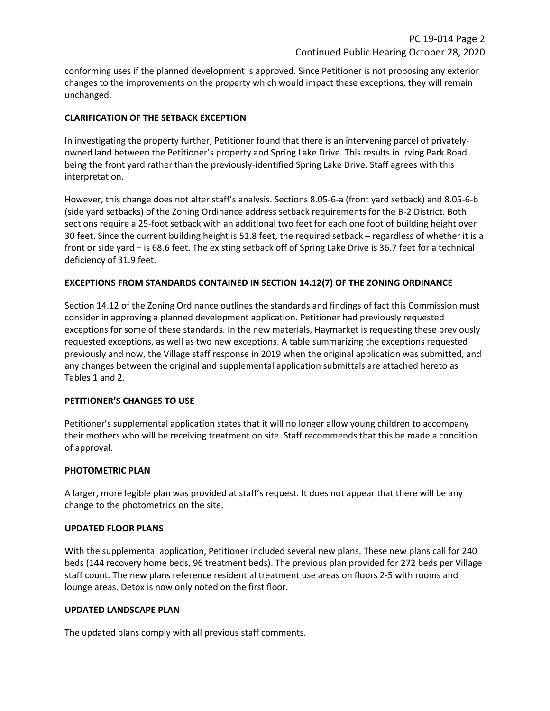conforming uses if the planned development is approved. Since Petitioner is not proposing any exterior changes to the improvements on the property which would impact these exceptions, they will remain unchanged.

#### **CLARIFICATION OF THE SETBACK EXCEPTION**

In investigating the property further, Petitioner found that there is an intervening parcel of privatelyowned land between the Petitioner's property and Spring Lake Drive. This results in Irving Park Road being the front yard rather than the previously-identified Spring Lake Drive. Staff agrees with this interpretation.

However, this change does not alter staff's analysis. Sections 8.05-6-a (front yard setback) and 8.05-6-b (side yard setbacks) of the Zoning Ordinance address setback requirements for the B-2 District. Both sections require a 25-foot setback with an additional two feet for each one foot of building height over 30 feet. Since the current building height is 51.8 feet, the required setback – regardless of whether it is a front or side yard – is 68.6 feet. The existing setback off of Spring Lake Drive is 36.7 feet for a technical deficiency of 31.9 feet.

#### **EXCEPTIONS FROM STANDARDS CONTAINED IN SECTION 14.12(7) OF THE ZONING ORDINANCE**

Section 14.12 of the Zoning Ordinance outlines the standards and findings of fact this Commission must consider in approving a planned development application. Petitioner had previously requested exceptions for some of these standards. In the new materials, Haymarket is requesting these previously requested exceptions, as well as two new exceptions. A table summarizing the exceptions requested previously and now, the Village staff response in 2019 when the original application was submitted, and any changes between the original and supplemental application submittals are attached hereto as Tables 1 and 2.

#### **PETITIONER'S CHANGES TO USE**

Petitioner's supplemental application states that it will no longer allow young children to accompany their mothers who will be receiving treatment on site. Staff recommends that this be made a condition of approval.

#### **PHOTOMETRIC PLAN**

A larger, more legible plan was provided at staff's request. It does not appear that there will be any change to the photometrics on the site.

#### **UPDATED FLOOR PLANS**

With the supplemental application, Petitioner included several new plans. These new plans call for 240 beds (144 recovery home beds, 96 treatment beds). The previous plan provided for 272 beds per Village staff count. The new plans reference residential treatment use areas on floors 2-5 with rooms and lounge areas. Detox is now only noted on the first floor.

#### **UPDATED LANDSCAPE PLAN**

The updated plans comply with all previous staff comments.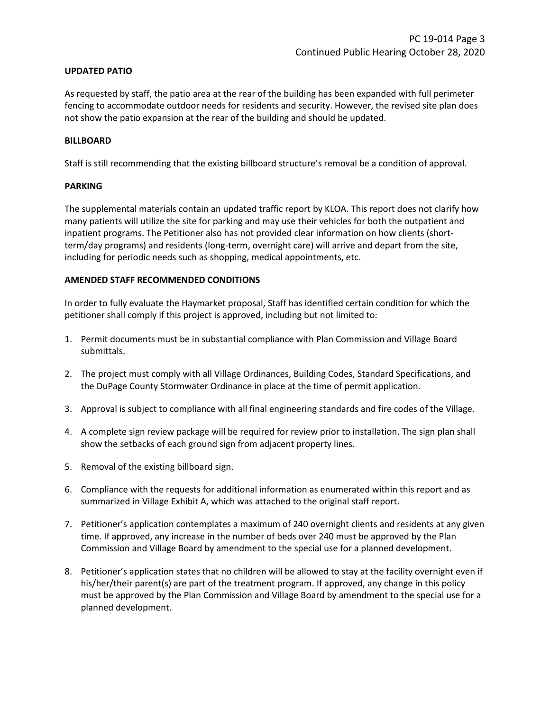#### **UPDATED PATIO**

As requested by staff, the patio area at the rear of the building has been expanded with full perimeter fencing to accommodate outdoor needs for residents and security. However, the revised site plan does not show the patio expansion at the rear of the building and should be updated.

#### **BILLBOARD**

Staff is still recommending that the existing billboard structure's removal be a condition of approval.

#### **PARKING**

The supplemental materials contain an updated traffic report by KLOA. This report does not clarify how many patients will utilize the site for parking and may use their vehicles for both the outpatient and inpatient programs. The Petitioner also has not provided clear information on how clients (shortterm/day programs) and residents (long-term, overnight care) will arrive and depart from the site, including for periodic needs such as shopping, medical appointments, etc.

#### **AMENDED STAFF RECOMMENDED CONDITIONS**

In order to fully evaluate the Haymarket proposal, Staff has identified certain condition for which the petitioner shall comply if this project is approved, including but not limited to:

- 1. Permit documents must be in substantial compliance with Plan Commission and Village Board submittals.
- 2. The project must comply with all Village Ordinances, Building Codes, Standard Specifications, and the DuPage County Stormwater Ordinance in place at the time of permit application.
- 3. Approval is subject to compliance with all final engineering standards and fire codes of the Village.
- 4. A complete sign review package will be required for review prior to installation. The sign plan shall show the setbacks of each ground sign from adjacent property lines.
- 5. Removal of the existing billboard sign.
- 6. Compliance with the requests for additional information as enumerated within this report and as summarized in Village Exhibit A, which was attached to the original staff report.
- 7. Petitioner's application contemplates a maximum of 240 overnight clients and residents at any given time. If approved, any increase in the number of beds over 240 must be approved by the Plan Commission and Village Board by amendment to the special use for a planned development.
- 8. Petitioner's application states that no children will be allowed to stay at the facility overnight even if his/her/their parent(s) are part of the treatment program. If approved, any change in this policy must be approved by the Plan Commission and Village Board by amendment to the special use for a planned development.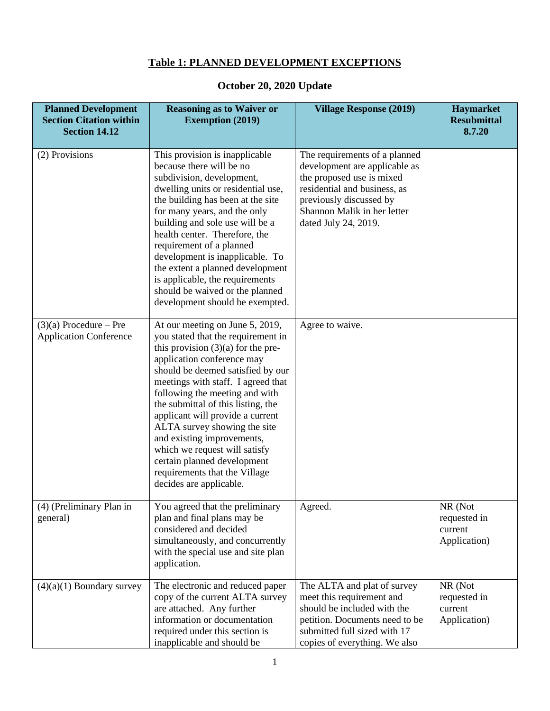### **Table 1: PLANNED DEVELOPMENT EXCEPTIONS**

# **October 20, 2020 Update**

| <b>Planned Development</b><br><b>Section Citation within</b><br><b>Section 14.12</b> | <b>Reasoning as to Waiver or</b><br><b>Exemption (2019)</b>                                                                                                                                                                                                                                                                                                                                                                                                                                                                  | <b>Village Response (2019)</b>                                                                                                                                                                                | Haymarket<br><b>Resubmittal</b><br>8.7.20          |
|--------------------------------------------------------------------------------------|------------------------------------------------------------------------------------------------------------------------------------------------------------------------------------------------------------------------------------------------------------------------------------------------------------------------------------------------------------------------------------------------------------------------------------------------------------------------------------------------------------------------------|---------------------------------------------------------------------------------------------------------------------------------------------------------------------------------------------------------------|----------------------------------------------------|
| (2) Provisions                                                                       | This provision is inapplicable<br>because there will be no<br>subdivision, development,<br>dwelling units or residential use,<br>the building has been at the site<br>for many years, and the only<br>building and sole use will be a<br>health center. Therefore, the<br>requirement of a planned<br>development is inapplicable. To<br>the extent a planned development<br>is applicable, the requirements<br>should be waived or the planned<br>development should be exempted.                                           | The requirements of a planned<br>development are applicable as<br>the proposed use is mixed<br>residential and business, as<br>previously discussed by<br>Shannon Malik in her letter<br>dated July 24, 2019. |                                                    |
| $(3)(a)$ Procedure – Pre<br><b>Application Conference</b>                            | At our meeting on June 5, 2019,<br>you stated that the requirement in<br>this provision $(3)(a)$ for the pre-<br>application conference may<br>should be deemed satisfied by our<br>meetings with staff. I agreed that<br>following the meeting and with<br>the submittal of this listing, the<br>applicant will provide a current<br>ALTA survey showing the site<br>and existing improvements,<br>which we request will satisfy<br>certain planned development<br>requirements that the Village<br>decides are applicable. | Agree to waive.                                                                                                                                                                                               |                                                    |
| (4) (Preliminary Plan in<br>general)                                                 | You agreed that the preliminary<br>plan and final plans may be<br>considered and decided<br>simultaneously, and concurrently<br>with the special use and site plan<br>application.                                                                                                                                                                                                                                                                                                                                           | Agreed.                                                                                                                                                                                                       | NR (Not<br>requested in<br>current<br>Application) |
| $(4)(a)(1)$ Boundary survey                                                          | The electronic and reduced paper<br>copy of the current ALTA survey<br>are attached. Any further<br>information or documentation<br>required under this section is<br>inapplicable and should be                                                                                                                                                                                                                                                                                                                             | The ALTA and plat of survey<br>meet this requirement and<br>should be included with the<br>petition. Documents need to be<br>submitted full sized with 17<br>copies of everything. We also                    | NR (Not<br>requested in<br>current<br>Application) |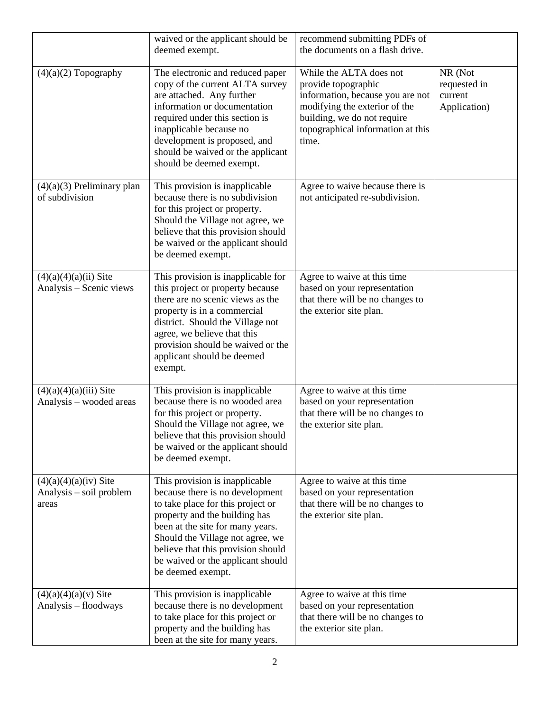|                                                             | waived or the applicant should be<br>deemed exempt.                                                                                                                                                                                                                                                             | recommend submitting PDFs of<br>the documents on a flash drive.                                                                                                                                  |                                                    |
|-------------------------------------------------------------|-----------------------------------------------------------------------------------------------------------------------------------------------------------------------------------------------------------------------------------------------------------------------------------------------------------------|--------------------------------------------------------------------------------------------------------------------------------------------------------------------------------------------------|----------------------------------------------------|
| $(4)(a)(2)$ Topography                                      | The electronic and reduced paper<br>copy of the current ALTA survey<br>are attached. Any further<br>information or documentation<br>required under this section is<br>inapplicable because no<br>development is proposed, and<br>should be waived or the applicant<br>should be deemed exempt.                  | While the ALTA does not<br>provide topographic<br>information, because you are not<br>modifying the exterior of the<br>building, we do not require<br>topographical information at this<br>time. | NR (Not<br>requested in<br>current<br>Application) |
| $(4)(a)(3)$ Preliminary plan<br>of subdivision              | This provision is inapplicable<br>because there is no subdivision<br>for this project or property.<br>Should the Village not agree, we<br>believe that this provision should<br>be waived or the applicant should<br>be deemed exempt.                                                                          | Agree to waive because there is<br>not anticipated re-subdivision.                                                                                                                               |                                                    |
| $(4)(a)(4)(a)(ii)$ Site<br>Analysis - Scenic views          | This provision is inapplicable for<br>this project or property because<br>there are no scenic views as the<br>property is in a commercial<br>district. Should the Village not<br>agree, we believe that this<br>provision should be waived or the<br>applicant should be deemed<br>exempt.                      | Agree to waive at this time<br>based on your representation<br>that there will be no changes to<br>the exterior site plan.                                                                       |                                                    |
| $(4)(a)(4)(a)(iii)$ Site<br>Analysis – wooded areas         | This provision is inapplicable<br>because there is no wooded area<br>for this project or property.<br>Should the Village not agree, we<br>believe that this provision should<br>be waived or the applicant should<br>be deemed exempt.                                                                          | Agree to waive at this time<br>based on your representation<br>that there will be no changes to<br>the exterior site plan.                                                                       |                                                    |
| $(4)(a)(4)(a)(iv)$ Site<br>Analysis – soil problem<br>areas | This provision is inapplicable<br>because there is no development<br>to take place for this project or<br>property and the building has<br>been at the site for many years.<br>Should the Village not agree, we<br>believe that this provision should<br>be waived or the applicant should<br>be deemed exempt. | Agree to waive at this time<br>based on your representation<br>that there will be no changes to<br>the exterior site plan.                                                                       |                                                    |
| $(4)(a)(4)(a)(v)$ Site<br>Analysis - floodways              | This provision is inapplicable<br>because there is no development<br>to take place for this project or<br>property and the building has<br>been at the site for many years.                                                                                                                                     | Agree to waive at this time<br>based on your representation<br>that there will be no changes to<br>the exterior site plan.                                                                       |                                                    |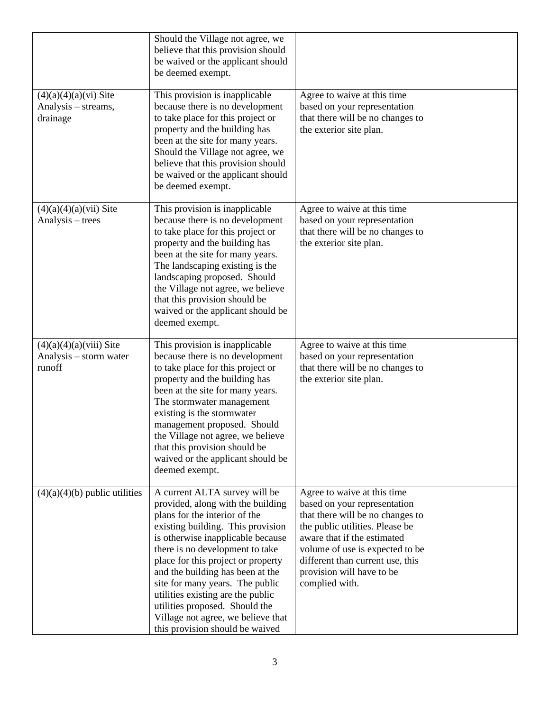|                                                               | Should the Village not agree, we<br>believe that this provision should<br>be waived or the applicant should<br>be deemed exempt.                                                                                                                                                                                                                                                                                                                                              |                                                                                                                                                                                                                                                                                         |  |
|---------------------------------------------------------------|-------------------------------------------------------------------------------------------------------------------------------------------------------------------------------------------------------------------------------------------------------------------------------------------------------------------------------------------------------------------------------------------------------------------------------------------------------------------------------|-----------------------------------------------------------------------------------------------------------------------------------------------------------------------------------------------------------------------------------------------------------------------------------------|--|
| $(4)(a)(4)(a)(vi)$ Site<br>Analysis - streams,<br>drainage    | This provision is inapplicable<br>because there is no development<br>to take place for this project or<br>property and the building has<br>been at the site for many years.<br>Should the Village not agree, we<br>believe that this provision should<br>be waived or the applicant should<br>be deemed exempt.                                                                                                                                                               | Agree to waive at this time<br>based on your representation<br>that there will be no changes to<br>the exterior site plan.                                                                                                                                                              |  |
| $(4)(a)(4)(a)(vii)$ Site<br>Analysis – trees                  | This provision is inapplicable<br>because there is no development<br>to take place for this project or<br>property and the building has<br>been at the site for many years.<br>The landscaping existing is the<br>landscaping proposed. Should<br>the Village not agree, we believe<br>that this provision should be<br>waived or the applicant should be<br>deemed exempt.                                                                                                   | Agree to waive at this time<br>based on your representation<br>that there will be no changes to<br>the exterior site plan.                                                                                                                                                              |  |
| $(4)(a)(4)(a)(viii)$ Site<br>Analysis – storm water<br>runoff | This provision is inapplicable<br>because there is no development<br>to take place for this project or<br>property and the building has<br>been at the site for many years.<br>The stormwater management<br>existing is the stormwater<br>management proposed. Should<br>the Village not agree, we believe<br>that this provision should be<br>waived or the applicant should be<br>deemed exempt.                                                                            | Agree to waive at this time<br>based on your representation<br>that there will be no changes to<br>the exterior site plan.                                                                                                                                                              |  |
| $(4)(a)(4)(b)$ public utilities                               | A current ALTA survey will be<br>provided, along with the building<br>plans for the interior of the<br>existing building. This provision<br>is otherwise inapplicable because<br>there is no development to take<br>place for this project or property<br>and the building has been at the<br>site for many years. The public<br>utilities existing are the public<br>utilities proposed. Should the<br>Village not agree, we believe that<br>this provision should be waived | Agree to waive at this time<br>based on your representation<br>that there will be no changes to<br>the public utilities. Please be<br>aware that if the estimated<br>volume of use is expected to be<br>different than current use, this<br>provision will have to be<br>complied with. |  |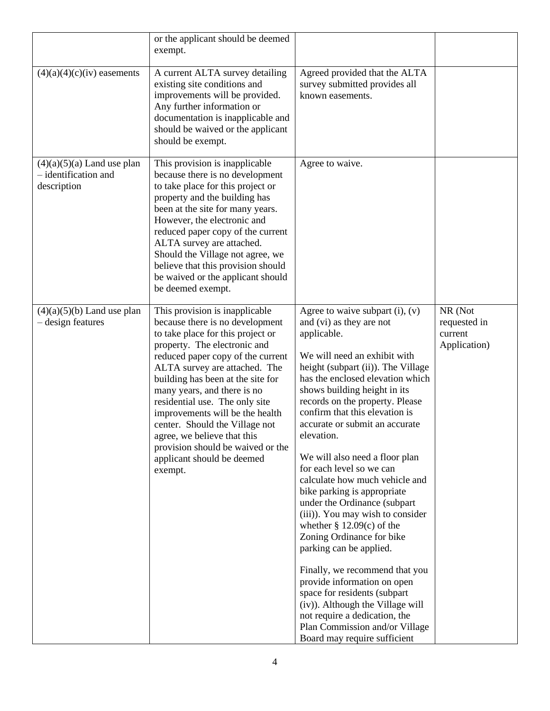|                                                                     | or the applicant should be deemed<br>exempt.                                                                                                                                                                                                                                                                                                                                                                                                                                                         |                                                                                                                                                                                                                                                                                                                                                                                                                                                                                                                                                                                                                                                                                                                                                                                                                                                                                   |                                                    |
|---------------------------------------------------------------------|------------------------------------------------------------------------------------------------------------------------------------------------------------------------------------------------------------------------------------------------------------------------------------------------------------------------------------------------------------------------------------------------------------------------------------------------------------------------------------------------------|-----------------------------------------------------------------------------------------------------------------------------------------------------------------------------------------------------------------------------------------------------------------------------------------------------------------------------------------------------------------------------------------------------------------------------------------------------------------------------------------------------------------------------------------------------------------------------------------------------------------------------------------------------------------------------------------------------------------------------------------------------------------------------------------------------------------------------------------------------------------------------------|----------------------------------------------------|
| $(4)(a)(4)(c)(iv)$ easements                                        | A current ALTA survey detailing<br>existing site conditions and<br>improvements will be provided.<br>Any further information or<br>documentation is inapplicable and<br>should be waived or the applicant<br>should be exempt.                                                                                                                                                                                                                                                                       | Agreed provided that the ALTA<br>survey submitted provides all<br>known easements.                                                                                                                                                                                                                                                                                                                                                                                                                                                                                                                                                                                                                                                                                                                                                                                                |                                                    |
| $(4)(a)(5)(a)$ Land use plan<br>- identification and<br>description | This provision is inapplicable<br>because there is no development<br>to take place for this project or<br>property and the building has<br>been at the site for many years.<br>However, the electronic and<br>reduced paper copy of the current<br>ALTA survey are attached.<br>Should the Village not agree, we<br>believe that this provision should<br>be waived or the applicant should<br>be deemed exempt.                                                                                     | Agree to waive.                                                                                                                                                                                                                                                                                                                                                                                                                                                                                                                                                                                                                                                                                                                                                                                                                                                                   |                                                    |
| $(4)(a)(5)(b)$ Land use plan<br>- design features                   | This provision is inapplicable<br>because there is no development<br>to take place for this project or<br>property. The electronic and<br>reduced paper copy of the current<br>ALTA survey are attached. The<br>building has been at the site for<br>many years, and there is no<br>residential use. The only site<br>improvements will be the health<br>center. Should the Village not<br>agree, we believe that this<br>provision should be waived or the<br>applicant should be deemed<br>exempt. | Agree to waive subpart $(i)$ , $(v)$<br>and (vi) as they are not<br>applicable.<br>We will need an exhibit with<br>height (subpart (ii)). The Village<br>has the enclosed elevation which<br>shows building height in its<br>records on the property. Please<br>confirm that this elevation is<br>accurate or submit an accurate<br>elevation.<br>We will also need a floor plan<br>for each level so we can<br>calculate how much vehicle and<br>bike parking is appropriate<br>under the Ordinance (subpart<br>(iii)). You may wish to consider<br>whether $\S$ 12.09(c) of the<br>Zoning Ordinance for bike<br>parking can be applied.<br>Finally, we recommend that you<br>provide information on open<br>space for residents (subpart<br>(iv)). Although the Village will<br>not require a dedication, the<br>Plan Commission and/or Village<br>Board may require sufficient | NR (Not<br>requested in<br>current<br>Application) |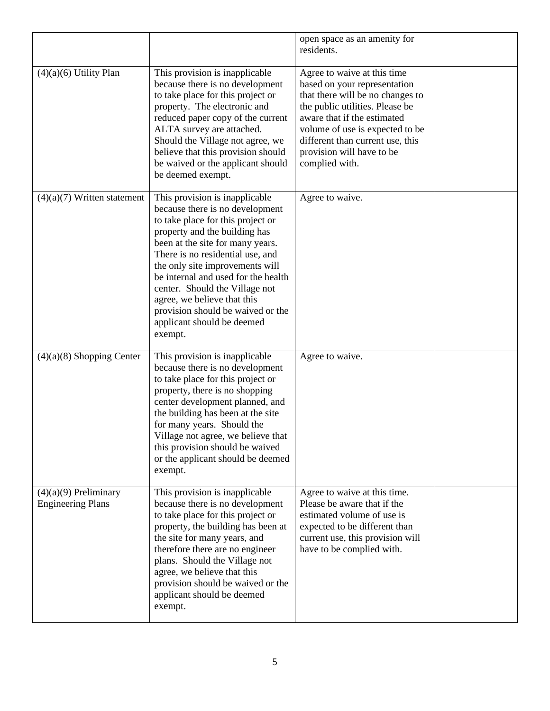|                                                     |                                                                                                                                                                                                                                                                                                                                                                                                                                          | open space as an amenity for<br>residents.                                                                                                                                                                                                                                              |  |
|-----------------------------------------------------|------------------------------------------------------------------------------------------------------------------------------------------------------------------------------------------------------------------------------------------------------------------------------------------------------------------------------------------------------------------------------------------------------------------------------------------|-----------------------------------------------------------------------------------------------------------------------------------------------------------------------------------------------------------------------------------------------------------------------------------------|--|
| $(4)(a)(6)$ Utility Plan                            | This provision is inapplicable<br>because there is no development<br>to take place for this project or<br>property. The electronic and<br>reduced paper copy of the current<br>ALTA survey are attached.<br>Should the Village not agree, we<br>believe that this provision should<br>be waived or the applicant should<br>be deemed exempt.                                                                                             | Agree to waive at this time<br>based on your representation<br>that there will be no changes to<br>the public utilities. Please be<br>aware that if the estimated<br>volume of use is expected to be<br>different than current use, this<br>provision will have to be<br>complied with. |  |
| $(4)(a)(7)$ Written statement                       | This provision is inapplicable<br>because there is no development<br>to take place for this project or<br>property and the building has<br>been at the site for many years.<br>There is no residential use, and<br>the only site improvements will<br>be internal and used for the health<br>center. Should the Village not<br>agree, we believe that this<br>provision should be waived or the<br>applicant should be deemed<br>exempt. | Agree to waive.                                                                                                                                                                                                                                                                         |  |
| $(4)(a)(8)$ Shopping Center                         | This provision is inapplicable<br>because there is no development<br>to take place for this project or<br>property, there is no shopping<br>center development planned, and<br>the building has been at the site<br>for many years. Should the<br>Village not agree, we believe that<br>this provision should be waived<br>or the applicant should be deemed<br>exempt.                                                                  | Agree to waive.                                                                                                                                                                                                                                                                         |  |
| $(4)(a)(9)$ Preliminary<br><b>Engineering Plans</b> | This provision is inapplicable<br>because there is no development<br>to take place for this project or<br>property, the building has been at<br>the site for many years, and<br>therefore there are no engineer<br>plans. Should the Village not<br>agree, we believe that this<br>provision should be waived or the<br>applicant should be deemed<br>exempt.                                                                            | Agree to waive at this time.<br>Please be aware that if the<br>estimated volume of use is<br>expected to be different than<br>current use, this provision will<br>have to be complied with.                                                                                             |  |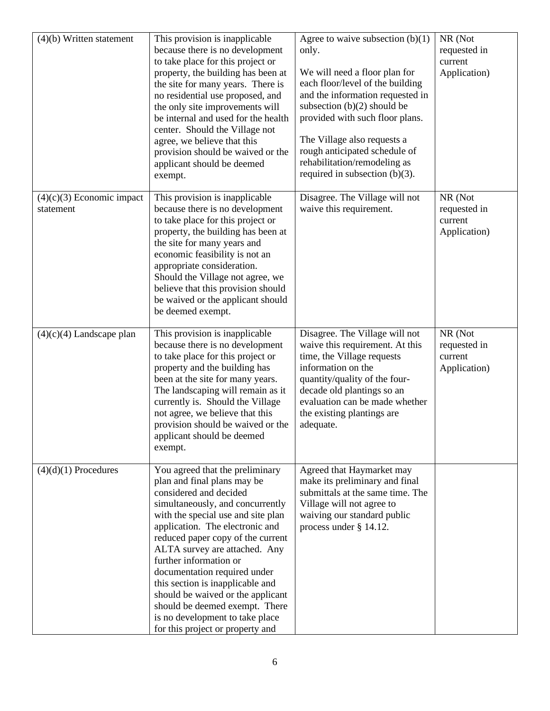| $(4)(b)$ Written statement               | This provision is inapplicable<br>because there is no development<br>to take place for this project or<br>property, the building has been at<br>the site for many years. There is<br>no residential use proposed, and<br>the only site improvements will<br>be internal and used for the health<br>center. Should the Village not<br>agree, we believe that this<br>provision should be waived or the<br>applicant should be deemed<br>exempt.                                                                          | Agree to waive subsection $(b)(1)$<br>only.<br>We will need a floor plan for<br>each floor/level of the building<br>and the information requested in<br>subsection $(b)(2)$ should be<br>provided with such floor plans.<br>The Village also requests a<br>rough anticipated schedule of<br>rehabilitation/remodeling as<br>required in subsection $(b)(3)$ . | NR (Not<br>requested in<br>current<br>Application) |
|------------------------------------------|-------------------------------------------------------------------------------------------------------------------------------------------------------------------------------------------------------------------------------------------------------------------------------------------------------------------------------------------------------------------------------------------------------------------------------------------------------------------------------------------------------------------------|---------------------------------------------------------------------------------------------------------------------------------------------------------------------------------------------------------------------------------------------------------------------------------------------------------------------------------------------------------------|----------------------------------------------------|
| $(4)(c)(3)$ Economic impact<br>statement | This provision is inapplicable<br>because there is no development<br>to take place for this project or<br>property, the building has been at<br>the site for many years and<br>economic feasibility is not an<br>appropriate consideration.<br>Should the Village not agree, we<br>believe that this provision should<br>be waived or the applicant should<br>be deemed exempt.                                                                                                                                         | Disagree. The Village will not<br>waive this requirement.                                                                                                                                                                                                                                                                                                     | NR (Not<br>requested in<br>current<br>Application) |
| $(4)(c)(4)$ Landscape plan               | This provision is inapplicable<br>because there is no development<br>to take place for this project or<br>property and the building has<br>been at the site for many years.<br>The landscaping will remain as it<br>currently is. Should the Village<br>not agree, we believe that this<br>provision should be waived or the<br>applicant should be deemed<br>exempt.                                                                                                                                                   | Disagree. The Village will not<br>waive this requirement. At this<br>time, the Village requests<br>information on the<br>quantity/quality of the four-<br>decade old plantings so an<br>evaluation can be made whether<br>the existing plantings are<br>adequate.                                                                                             | NR (Not<br>requested in<br>current<br>Application) |
| $(4)(d)(1)$ Procedures                   | You agreed that the preliminary<br>plan and final plans may be<br>considered and decided<br>simultaneously, and concurrently<br>with the special use and site plan<br>application. The electronic and<br>reduced paper copy of the current<br>ALTA survey are attached. Any<br>further information or<br>documentation required under<br>this section is inapplicable and<br>should be waived or the applicant<br>should be deemed exempt. There<br>is no development to take place<br>for this project or property and | Agreed that Haymarket may<br>make its preliminary and final<br>submittals at the same time. The<br>Village will not agree to<br>waiving our standard public<br>process under § 14.12.                                                                                                                                                                         |                                                    |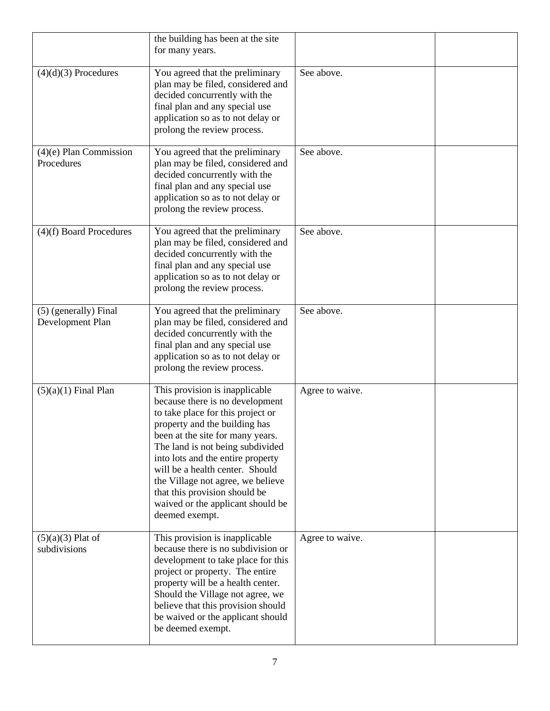|                                           | the building has been at the site<br>for many years.                                                                                                                                                                                                                                                                                                                                                                 |                 |  |
|-------------------------------------------|----------------------------------------------------------------------------------------------------------------------------------------------------------------------------------------------------------------------------------------------------------------------------------------------------------------------------------------------------------------------------------------------------------------------|-----------------|--|
| $(4)(d)(3)$ Procedures                    | You agreed that the preliminary<br>plan may be filed, considered and<br>decided concurrently with the<br>final plan and any special use<br>application so as to not delay or<br>prolong the review process.                                                                                                                                                                                                          | See above.      |  |
| $(4)(e)$ Plan Commission<br>Procedures    | You agreed that the preliminary<br>plan may be filed, considered and<br>decided concurrently with the<br>final plan and any special use<br>application so as to not delay or<br>prolong the review process.                                                                                                                                                                                                          | See above.      |  |
| $(4)(f)$ Board Procedures                 | You agreed that the preliminary<br>plan may be filed, considered and<br>decided concurrently with the<br>final plan and any special use<br>application so as to not delay or<br>prolong the review process.                                                                                                                                                                                                          | See above.      |  |
| (5) (generally) Final<br>Development Plan | You agreed that the preliminary<br>plan may be filed, considered and<br>decided concurrently with the<br>final plan and any special use<br>application so as to not delay or<br>prolong the review process.                                                                                                                                                                                                          | See above.      |  |
| $(5)(a)(1)$ Final Plan                    | This provision is inapplicable<br>because there is no development<br>to take place for this project or<br>property and the building has<br>been at the site for many years.<br>The land is not being subdivided<br>into lots and the entire property<br>will be a health center. Should<br>the Village not agree, we believe<br>that this provision should be<br>waived or the applicant should be<br>deemed exempt. | Agree to waive. |  |
| $(5)(a)(3)$ Plat of<br>subdivisions       | This provision is inapplicable<br>because there is no subdivision or<br>development to take place for this<br>project or property. The entire<br>property will be a health center.<br>Should the Village not agree, we<br>believe that this provision should<br>be waived or the applicant should<br>be deemed exempt.                                                                                               | Agree to waive. |  |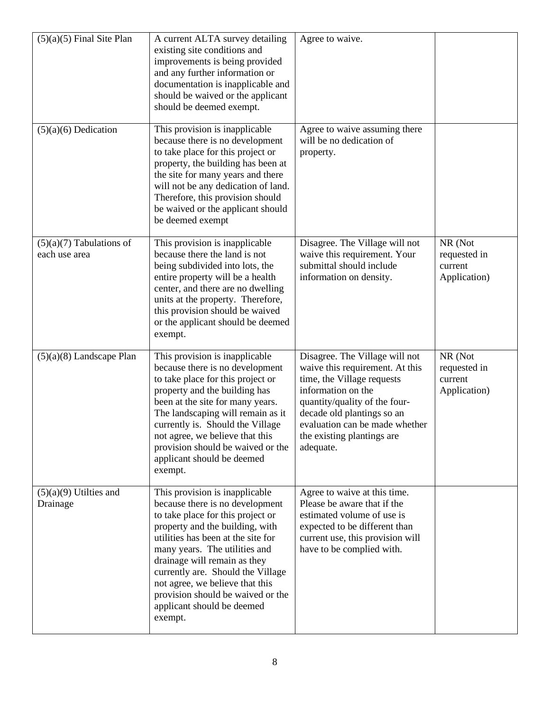| $(5)(a)(5)$ Final Site Plan                 | A current ALTA survey detailing<br>existing site conditions and<br>improvements is being provided<br>and any further information or<br>documentation is inapplicable and<br>should be waived or the applicant<br>should be deemed exempt.                                                                                                                                                              | Agree to waive.                                                                                                                                                                                                                                                   |                                                    |
|---------------------------------------------|--------------------------------------------------------------------------------------------------------------------------------------------------------------------------------------------------------------------------------------------------------------------------------------------------------------------------------------------------------------------------------------------------------|-------------------------------------------------------------------------------------------------------------------------------------------------------------------------------------------------------------------------------------------------------------------|----------------------------------------------------|
| $(5)(a)(6)$ Dedication                      | This provision is inapplicable<br>because there is no development<br>to take place for this project or<br>property, the building has been at<br>the site for many years and there<br>will not be any dedication of land.<br>Therefore, this provision should<br>be waived or the applicant should<br>be deemed exempt                                                                                  | Agree to waive assuming there<br>will be no dedication of<br>property.                                                                                                                                                                                            |                                                    |
| $(5)(a)(7)$ Tabulations of<br>each use area | This provision is inapplicable<br>because there the land is not<br>being subdivided into lots, the<br>entire property will be a health<br>center, and there are no dwelling<br>units at the property. Therefore,<br>this provision should be waived<br>or the applicant should be deemed<br>exempt.                                                                                                    | Disagree. The Village will not<br>waive this requirement. Your<br>submittal should include<br>information on density.                                                                                                                                             | NR (Not<br>requested in<br>current<br>Application) |
| $(5)(a)(8)$ Landscape Plan                  | This provision is inapplicable<br>because there is no development<br>to take place for this project or<br>property and the building has<br>been at the site for many years.<br>The landscaping will remain as it<br>currently is. Should the Village<br>not agree, we believe that this<br>provision should be waived or the<br>applicant should be deemed<br>exempt.                                  | Disagree. The Village will not<br>waive this requirement. At this<br>time, the Village requests<br>information on the<br>quantity/quality of the four-<br>decade old plantings so an<br>evaluation can be made whether<br>the existing plantings are<br>adequate. | NR (Not<br>requested in<br>current<br>Application) |
| $(5)(a)(9)$ Utilties and<br>Drainage        | This provision is inapplicable<br>because there is no development<br>to take place for this project or<br>property and the building, with<br>utilities has been at the site for<br>many years. The utilities and<br>drainage will remain as they<br>currently are. Should the Village<br>not agree, we believe that this<br>provision should be waived or the<br>applicant should be deemed<br>exempt. | Agree to waive at this time.<br>Please be aware that if the<br>estimated volume of use is<br>expected to be different than<br>current use, this provision will<br>have to be complied with.                                                                       |                                                    |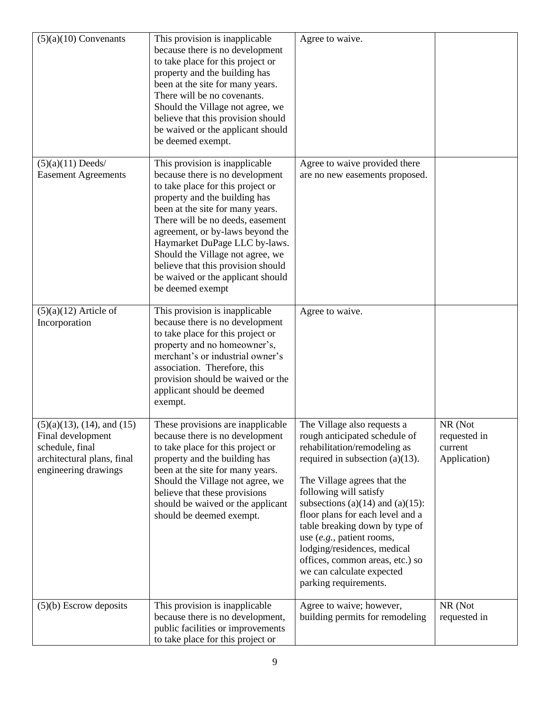| $(5)(a)(10)$ Convenants                                                                                                          | This provision is inapplicable<br>because there is no development<br>to take place for this project or<br>property and the building has<br>been at the site for many years.<br>There will be no covenants.<br>Should the Village not agree, we<br>believe that this provision should<br>be waived or the applicant should<br>be deemed exempt.                                                                          | Agree to waive.                                                                                                                                                                                                                                                                                                                                                                                                                                                     |                                                    |
|----------------------------------------------------------------------------------------------------------------------------------|-------------------------------------------------------------------------------------------------------------------------------------------------------------------------------------------------------------------------------------------------------------------------------------------------------------------------------------------------------------------------------------------------------------------------|---------------------------------------------------------------------------------------------------------------------------------------------------------------------------------------------------------------------------------------------------------------------------------------------------------------------------------------------------------------------------------------------------------------------------------------------------------------------|----------------------------------------------------|
| $(5)(a)(11)$ Deeds/<br><b>Easement Agreements</b>                                                                                | This provision is inapplicable<br>because there is no development<br>to take place for this project or<br>property and the building has<br>been at the site for many years.<br>There will be no deeds, easement<br>agreement, or by-laws beyond the<br>Haymarket DuPage LLC by-laws.<br>Should the Village not agree, we<br>believe that this provision should<br>be waived or the applicant should<br>be deemed exempt | Agree to waive provided there<br>are no new easements proposed.                                                                                                                                                                                                                                                                                                                                                                                                     |                                                    |
| $(5)(a)(12)$ Article of<br>Incorporation                                                                                         | This provision is inapplicable<br>because there is no development<br>to take place for this project or<br>property and no homeowner's,<br>merchant's or industrial owner's<br>association. Therefore, this<br>provision should be waived or the<br>applicant should be deemed<br>exempt.                                                                                                                                | Agree to waive.                                                                                                                                                                                                                                                                                                                                                                                                                                                     |                                                    |
| $(5)(a)(13)$ , $(14)$ , and $(15)$<br>Final development<br>schedule, final<br>architectural plans, final<br>engineering drawings | These provisions are inapplicable<br>because there is no development<br>to take place for this project or<br>property and the building has<br>been at the site for many years.<br>Should the Village not agree, we<br>believe that these provisions<br>should be waived or the applicant<br>should be deemed exempt.                                                                                                    | The Village also requests a<br>rough anticipated schedule of<br>rehabilitation/remodeling as<br>required in subsection $(a)(13)$ .<br>The Village agrees that the<br>following will satisfy<br>subsections (a) $(14)$ and (a) $(15)$ :<br>floor plans for each level and a<br>table breaking down by type of<br>use $(e.g.,$ patient rooms,<br>lodging/residences, medical<br>offices, common areas, etc.) so<br>we can calculate expected<br>parking requirements. | NR (Not<br>requested in<br>current<br>Application) |
| $(5)(b)$ Escrow deposits                                                                                                         | This provision is inapplicable<br>because there is no development,<br>public facilities or improvements<br>to take place for this project or                                                                                                                                                                                                                                                                            | Agree to waive; however,<br>building permits for remodeling                                                                                                                                                                                                                                                                                                                                                                                                         | NR (Not<br>requested in                            |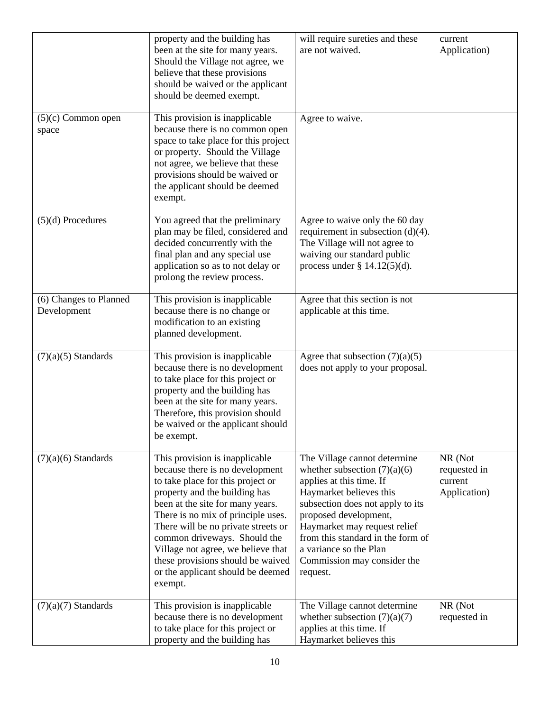|                                       | property and the building has<br>been at the site for many years.<br>Should the Village not agree, we<br>believe that these provisions<br>should be waived or the applicant<br>should be deemed exempt.                                                                                                                                                                                                             | will require sureties and these<br>are not waived.                                                                                                                                                                                                                                                                           | current<br>Application)                            |
|---------------------------------------|---------------------------------------------------------------------------------------------------------------------------------------------------------------------------------------------------------------------------------------------------------------------------------------------------------------------------------------------------------------------------------------------------------------------|------------------------------------------------------------------------------------------------------------------------------------------------------------------------------------------------------------------------------------------------------------------------------------------------------------------------------|----------------------------------------------------|
| $(5)(c)$ Common open<br>space         | This provision is inapplicable<br>because there is no common open<br>space to take place for this project<br>or property. Should the Village<br>not agree, we believe that these<br>provisions should be waived or<br>the applicant should be deemed<br>exempt.                                                                                                                                                     | Agree to waive.                                                                                                                                                                                                                                                                                                              |                                                    |
| $(5)(d)$ Procedures                   | You agreed that the preliminary<br>plan may be filed, considered and<br>decided concurrently with the<br>final plan and any special use<br>application so as to not delay or<br>prolong the review process.                                                                                                                                                                                                         | Agree to waive only the 60 day<br>requirement in subsection $(d)(4)$ .<br>The Village will not agree to<br>waiving our standard public<br>process under $\S$ 14.12(5)(d).                                                                                                                                                    |                                                    |
| (6) Changes to Planned<br>Development | This provision is inapplicable<br>because there is no change or<br>modification to an existing<br>planned development.                                                                                                                                                                                                                                                                                              | Agree that this section is not<br>applicable at this time.                                                                                                                                                                                                                                                                   |                                                    |
| $(7)(a)(5)$ Standards                 | This provision is inapplicable<br>because there is no development<br>to take place for this project or<br>property and the building has<br>been at the site for many years.<br>Therefore, this provision should<br>be waived or the applicant should<br>be exempt.                                                                                                                                                  | Agree that subsection $(7)(a)(5)$<br>does not apply to your proposal.                                                                                                                                                                                                                                                        |                                                    |
| $(7)(a)(6)$ Standards                 | This provision is inapplicable<br>because there is no development<br>to take place for this project or<br>property and the building has<br>been at the site for many years.<br>There is no mix of principle uses.<br>There will be no private streets or<br>common driveways. Should the<br>Village not agree, we believe that<br>these provisions should be waived<br>or the applicant should be deemed<br>exempt. | The Village cannot determine<br>whether subsection $(7)(a)(6)$<br>applies at this time. If<br>Haymarket believes this<br>subsection does not apply to its<br>proposed development,<br>Haymarket may request relief<br>from this standard in the form of<br>a variance so the Plan<br>Commission may consider the<br>request. | NR (Not<br>requested in<br>current<br>Application) |
| $(7)(a)(7)$ Standards                 | This provision is inapplicable<br>because there is no development<br>to take place for this project or<br>property and the building has                                                                                                                                                                                                                                                                             | The Village cannot determine<br>whether subsection $(7)(a)(7)$<br>applies at this time. If<br>Haymarket believes this                                                                                                                                                                                                        | NR (Not<br>requested in                            |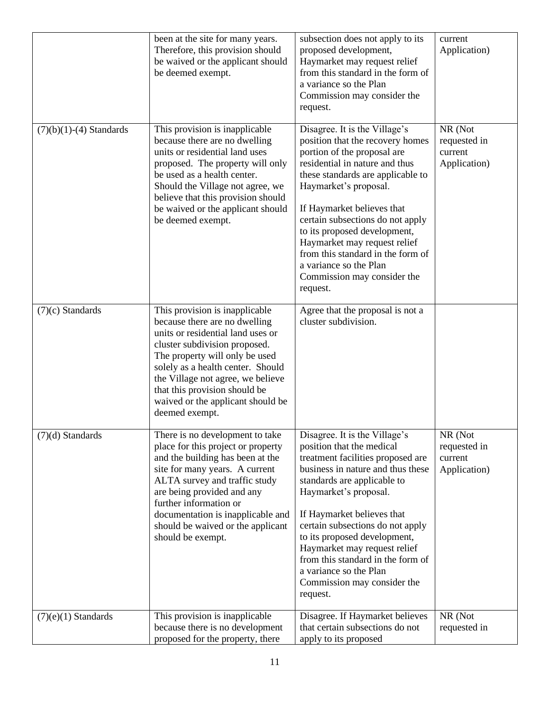|                           | been at the site for many years.<br>Therefore, this provision should<br>be waived or the applicant should<br>be deemed exempt.                                                                                                                                                                                                            | subsection does not apply to its<br>proposed development,<br>Haymarket may request relief<br>from this standard in the form of<br>a variance so the Plan<br>Commission may consider the<br>request.                                                                                                                                                                                                                                          | current<br>Application)                            |
|---------------------------|-------------------------------------------------------------------------------------------------------------------------------------------------------------------------------------------------------------------------------------------------------------------------------------------------------------------------------------------|----------------------------------------------------------------------------------------------------------------------------------------------------------------------------------------------------------------------------------------------------------------------------------------------------------------------------------------------------------------------------------------------------------------------------------------------|----------------------------------------------------|
| $(7)(b)(1)-(4)$ Standards | This provision is inapplicable<br>because there are no dwelling<br>units or residential land uses<br>proposed. The property will only<br>be used as a health center.<br>Should the Village not agree, we<br>believe that this provision should<br>be waived or the applicant should<br>be deemed exempt.                                  | Disagree. It is the Village's<br>position that the recovery homes<br>portion of the proposal are<br>residential in nature and thus<br>these standards are applicable to<br>Haymarket's proposal.<br>If Haymarket believes that<br>certain subsections do not apply<br>to its proposed development,<br>Haymarket may request relief<br>from this standard in the form of<br>a variance so the Plan<br>Commission may consider the<br>request. | NR (Not<br>requested in<br>current<br>Application) |
| $(7)(c)$ Standards        | This provision is inapplicable<br>because there are no dwelling<br>units or residential land uses or<br>cluster subdivision proposed.<br>The property will only be used<br>solely as a health center. Should<br>the Village not agree, we believe<br>that this provision should be<br>waived or the applicant should be<br>deemed exempt. | Agree that the proposal is not a<br>cluster subdivision.                                                                                                                                                                                                                                                                                                                                                                                     |                                                    |
| $(7)(d)$ Standards        | There is no development to take<br>place for this project or property<br>and the building has been at the<br>site for many years. A current<br>ALTA survey and traffic study<br>are being provided and any<br>further information or<br>documentation is inapplicable and<br>should be waived or the applicant<br>should be exempt.       | Disagree. It is the Village's<br>position that the medical<br>treatment facilities proposed are<br>business in nature and thus these<br>standards are applicable to<br>Haymarket's proposal.<br>If Haymarket believes that<br>certain subsections do not apply<br>to its proposed development,<br>Haymarket may request relief<br>from this standard in the form of<br>a variance so the Plan<br>Commission may consider the<br>request.     | NR (Not<br>requested in<br>current<br>Application) |
| $(7)(e)(1)$ Standards     | This provision is inapplicable<br>because there is no development<br>proposed for the property, there                                                                                                                                                                                                                                     | Disagree. If Haymarket believes<br>that certain subsections do not<br>apply to its proposed                                                                                                                                                                                                                                                                                                                                                  | NR (Not<br>requested in                            |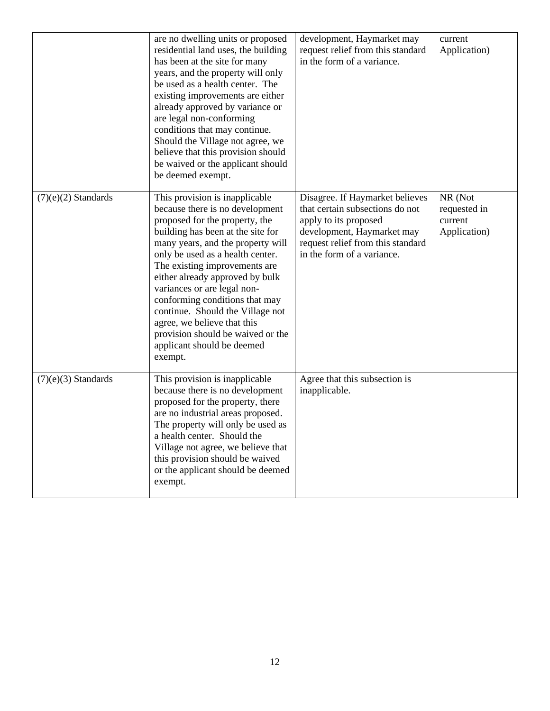|                       | are no dwelling units or proposed<br>residential land uses, the building<br>has been at the site for many<br>years, and the property will only<br>be used as a health center. The<br>existing improvements are either<br>already approved by variance or<br>are legal non-conforming<br>conditions that may continue.<br>Should the Village not agree, we<br>believe that this provision should<br>be waived or the applicant should<br>be deemed exempt.                                               | development, Haymarket may<br>request relief from this standard<br>in the form of a variance.                                                                                                | current<br>Application)                            |
|-----------------------|---------------------------------------------------------------------------------------------------------------------------------------------------------------------------------------------------------------------------------------------------------------------------------------------------------------------------------------------------------------------------------------------------------------------------------------------------------------------------------------------------------|----------------------------------------------------------------------------------------------------------------------------------------------------------------------------------------------|----------------------------------------------------|
| $(7)(e)(2)$ Standards | This provision is inapplicable<br>because there is no development<br>proposed for the property, the<br>building has been at the site for<br>many years, and the property will<br>only be used as a health center.<br>The existing improvements are<br>either already approved by bulk<br>variances or are legal non-<br>conforming conditions that may<br>continue. Should the Village not<br>agree, we believe that this<br>provision should be waived or the<br>applicant should be deemed<br>exempt. | Disagree. If Haymarket believes<br>that certain subsections do not<br>apply to its proposed<br>development, Haymarket may<br>request relief from this standard<br>in the form of a variance. | NR (Not<br>requested in<br>current<br>Application) |
| $(7)(e)(3)$ Standards | This provision is inapplicable<br>because there is no development<br>proposed for the property, there<br>are no industrial areas proposed.<br>The property will only be used as<br>a health center. Should the<br>Village not agree, we believe that<br>this provision should be waived<br>or the applicant should be deemed<br>exempt.                                                                                                                                                                 | Agree that this subsection is<br>inapplicable.                                                                                                                                               |                                                    |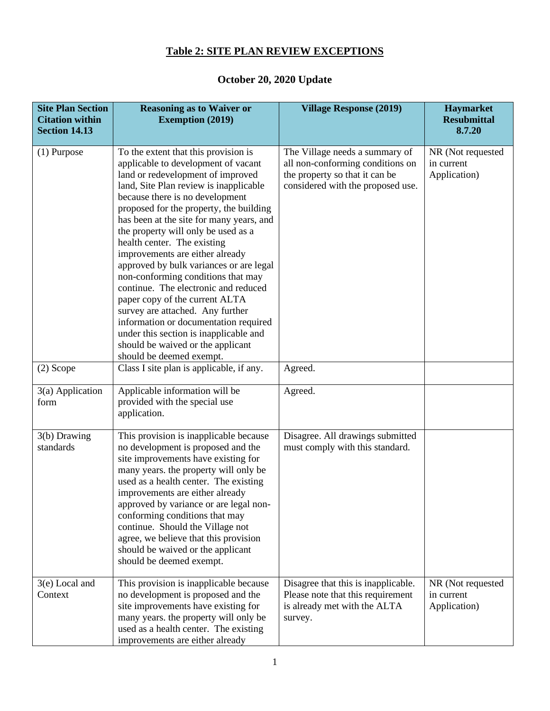# **Table 2: SITE PLAN REVIEW EXCEPTIONS**

### **October 20, 2020 Update**

| <b>Site Plan Section</b><br><b>Citation within</b><br><b>Section 14.13</b> | <b>Reasoning as to Waiver or</b><br><b>Exemption (2019)</b>                                                                                                                                                                                                                                                                                                                                                                                                                                                                                                                                                                                                                                                                                      | <b>Village Response (2019)</b>                                                                                                            | Haymarket<br><b>Resubmittal</b><br>8.7.20       |
|----------------------------------------------------------------------------|--------------------------------------------------------------------------------------------------------------------------------------------------------------------------------------------------------------------------------------------------------------------------------------------------------------------------------------------------------------------------------------------------------------------------------------------------------------------------------------------------------------------------------------------------------------------------------------------------------------------------------------------------------------------------------------------------------------------------------------------------|-------------------------------------------------------------------------------------------------------------------------------------------|-------------------------------------------------|
| $(1)$ Purpose                                                              | To the extent that this provision is<br>applicable to development of vacant<br>land or redevelopment of improved<br>land, Site Plan review is inapplicable<br>because there is no development<br>proposed for the property, the building<br>has been at the site for many years, and<br>the property will only be used as a<br>health center. The existing<br>improvements are either already<br>approved by bulk variances or are legal<br>non-conforming conditions that may<br>continue. The electronic and reduced<br>paper copy of the current ALTA<br>survey are attached. Any further<br>information or documentation required<br>under this section is inapplicable and<br>should be waived or the applicant<br>should be deemed exempt. | The Village needs a summary of<br>all non-conforming conditions on<br>the property so that it can be<br>considered with the proposed use. | NR (Not requested<br>in current<br>Application) |
| $(2)$ Scope                                                                | Class I site plan is applicable, if any.                                                                                                                                                                                                                                                                                                                                                                                                                                                                                                                                                                                                                                                                                                         | Agreed.                                                                                                                                   |                                                 |
| 3(a) Application<br>form                                                   | Applicable information will be<br>provided with the special use<br>application.                                                                                                                                                                                                                                                                                                                                                                                                                                                                                                                                                                                                                                                                  | Agreed.                                                                                                                                   |                                                 |
| 3(b) Drawing<br>standards                                                  | This provision is inapplicable because<br>no development is proposed and the<br>site improvements have existing for<br>many years. the property will only be<br>used as a health center. The existing<br>improvements are either already<br>approved by variance or are legal non-<br>conforming conditions that may<br>continue. Should the Village not<br>agree, we believe that this provision<br>should be waived or the applicant<br>should be deemed exempt.                                                                                                                                                                                                                                                                               | Disagree. All drawings submitted<br>must comply with this standard.                                                                       |                                                 |
| 3(e) Local and<br>Context                                                  | This provision is inapplicable because<br>no development is proposed and the<br>site improvements have existing for<br>many years. the property will only be<br>used as a health center. The existing<br>improvements are either already                                                                                                                                                                                                                                                                                                                                                                                                                                                                                                         | Disagree that this is inapplicable.<br>Please note that this requirement<br>is already met with the ALTA<br>survey.                       | NR (Not requested<br>in current<br>Application) |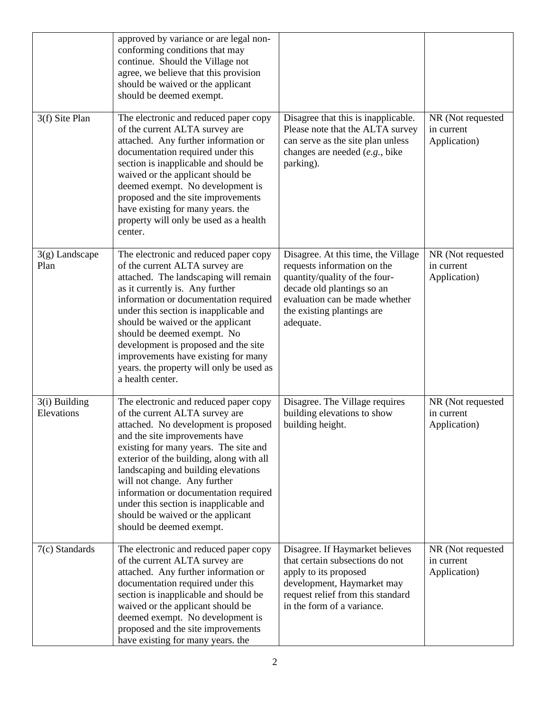|                             | approved by variance or are legal non-<br>conforming conditions that may<br>continue. Should the Village not<br>agree, we believe that this provision<br>should be waived or the applicant<br>should be deemed exempt.                                                                                                                                                                                                                                            |                                                                                                                                                                                                                |                                                 |
|-----------------------------|-------------------------------------------------------------------------------------------------------------------------------------------------------------------------------------------------------------------------------------------------------------------------------------------------------------------------------------------------------------------------------------------------------------------------------------------------------------------|----------------------------------------------------------------------------------------------------------------------------------------------------------------------------------------------------------------|-------------------------------------------------|
| 3(f) Site Plan              | The electronic and reduced paper copy<br>of the current ALTA survey are<br>attached. Any further information or<br>documentation required under this<br>section is inapplicable and should be<br>waived or the applicant should be<br>deemed exempt. No development is<br>proposed and the site improvements<br>have existing for many years. the<br>property will only be used as a health<br>center.                                                            | Disagree that this is inapplicable.<br>Please note that the ALTA survey<br>can serve as the site plan unless<br>changes are needed (e.g., bike<br>parking).                                                    | NR (Not requested<br>in current<br>Application) |
| $3(g)$ Landscape<br>Plan    | The electronic and reduced paper copy<br>of the current ALTA survey are<br>attached. The landscaping will remain<br>as it currently is. Any further<br>information or documentation required<br>under this section is inapplicable and<br>should be waived or the applicant<br>should be deemed exempt. No<br>development is proposed and the site<br>improvements have existing for many<br>years. the property will only be used as<br>a health center.         | Disagree. At this time, the Village<br>requests information on the<br>quantity/quality of the four-<br>decade old plantings so an<br>evaluation can be made whether<br>the existing plantings are<br>adequate. | NR (Not requested<br>in current<br>Application) |
| 3(i) Building<br>Elevations | The electronic and reduced paper copy<br>of the current ALTA survey are<br>attached. No development is proposed<br>and the site improvements have<br>existing for many years. The site and<br>exterior of the building, along with all<br>landscaping and building elevations<br>will not change. Any further<br>information or documentation required<br>under this section is inapplicable and<br>should be waived or the applicant<br>should be deemed exempt. | Disagree. The Village requires<br>building elevations to show<br>building height.                                                                                                                              | NR (Not requested<br>in current<br>Application) |
| 7(c) Standards              | The electronic and reduced paper copy<br>of the current ALTA survey are<br>attached. Any further information or<br>documentation required under this<br>section is inapplicable and should be<br>waived or the applicant should be<br>deemed exempt. No development is<br>proposed and the site improvements<br>have existing for many years. the                                                                                                                 | Disagree. If Haymarket believes<br>that certain subsections do not<br>apply to its proposed<br>development, Haymarket may<br>request relief from this standard<br>in the form of a variance.                   | NR (Not requested<br>in current<br>Application) |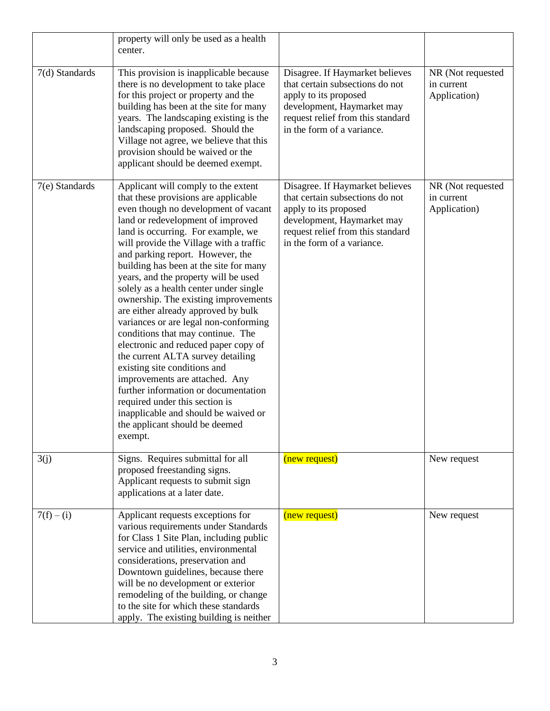|                | property will only be used as a health<br>center.                                                                                                                                                                                                                                                                                                                                                                                                                                                                                                                                                                                                                                                                                                                                                                                                                                    |                                                                                                                                                                                              |                                                 |
|----------------|--------------------------------------------------------------------------------------------------------------------------------------------------------------------------------------------------------------------------------------------------------------------------------------------------------------------------------------------------------------------------------------------------------------------------------------------------------------------------------------------------------------------------------------------------------------------------------------------------------------------------------------------------------------------------------------------------------------------------------------------------------------------------------------------------------------------------------------------------------------------------------------|----------------------------------------------------------------------------------------------------------------------------------------------------------------------------------------------|-------------------------------------------------|
| 7(d) Standards | This provision is inapplicable because<br>there is no development to take place<br>for this project or property and the<br>building has been at the site for many<br>years. The landscaping existing is the<br>landscaping proposed. Should the<br>Village not agree, we believe that this<br>provision should be waived or the<br>applicant should be deemed exempt.                                                                                                                                                                                                                                                                                                                                                                                                                                                                                                                | Disagree. If Haymarket believes<br>that certain subsections do not<br>apply to its proposed<br>development, Haymarket may<br>request relief from this standard<br>in the form of a variance. | NR (Not requested<br>in current<br>Application) |
| 7(e) Standards | Applicant will comply to the extent<br>that these provisions are applicable<br>even though no development of vacant<br>land or redevelopment of improved<br>land is occurring. For example, we<br>will provide the Village with a traffic<br>and parking report. However, the<br>building has been at the site for many<br>years, and the property will be used<br>solely as a health center under single<br>ownership. The existing improvements<br>are either already approved by bulk<br>variances or are legal non-conforming<br>conditions that may continue. The<br>electronic and reduced paper copy of<br>the current ALTA survey detailing<br>existing site conditions and<br>improvements are attached. Any<br>further information or documentation<br>required under this section is<br>inapplicable and should be waived or<br>the applicant should be deemed<br>exempt. | Disagree. If Haymarket believes<br>that certain subsections do not<br>apply to its proposed<br>development, Haymarket may<br>request relief from this standard<br>in the form of a variance. | NR (Not requested<br>in current<br>Application) |
| 3(j)           | Signs. Requires submittal for all<br>proposed freestanding signs.<br>Applicant requests to submit sign<br>applications at a later date.                                                                                                                                                                                                                                                                                                                                                                                                                                                                                                                                                                                                                                                                                                                                              | (new request)                                                                                                                                                                                | New request                                     |
| $7(f) - (i)$   | Applicant requests exceptions for<br>various requirements under Standards<br>for Class 1 Site Plan, including public<br>service and utilities, environmental<br>considerations, preservation and<br>Downtown guidelines, because there<br>will be no development or exterior<br>remodeling of the building, or change<br>to the site for which these standards<br>apply. The existing building is neither                                                                                                                                                                                                                                                                                                                                                                                                                                                                            | (new request)                                                                                                                                                                                | New request                                     |